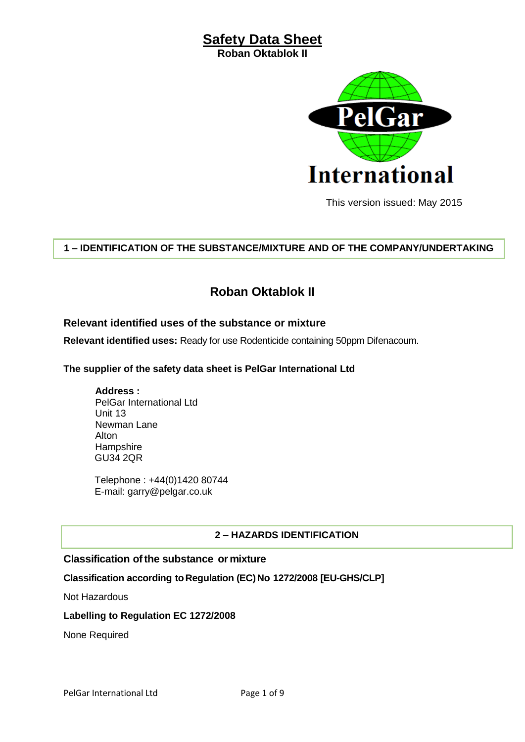**Roban Oktablok II**



This version issued: May 2015

#### **1 – IDENTIFICATION OF THE SUBSTANCE/MIXTURE AND OF THE COMPANY/UNDERTAKING**

## **Roban Oktablok II**

#### **Relevant identified uses of the substance or mixture**

**Relevant identified uses:** Ready for use Rodenticide containing 50ppm Difenacoum.

#### **The supplier of the safety data sheet is PelGar International Ltd**

**Address :** PelGar International Ltd Unit 13 Newman Lane Alton **Hampshire** GU34 2QR

Telephone : +44(0)1420 80744 E-mail: garry@pelgar.co.uk

#### **2 – HAZARDS IDENTIFICATION**

#### **Classification ofthe substance or mixture**

#### **Classification according toRegulation (EC)No 1272/2008 [EU-GHS/CLP]**

Not Hazardous

#### **Labelling to Regulation EC 1272/2008**

None Required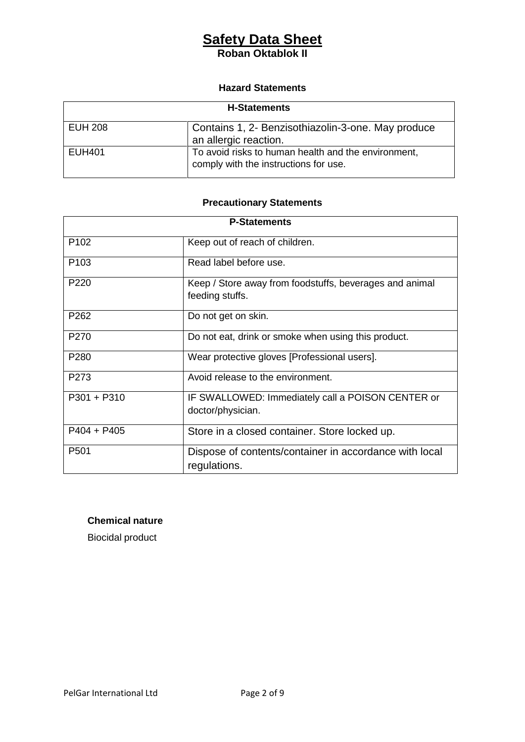#### **Roban Oktablok II**

#### **Hazard Statements**

| <b>H-Statements</b> |                                                                                              |  |
|---------------------|----------------------------------------------------------------------------------------------|--|
| <b>EUH 208</b>      | Contains 1, 2- Benzisothiazolin-3-one. May produce<br>an allergic reaction.                  |  |
| <b>EUH401</b>       | To avoid risks to human health and the environment,<br>comply with the instructions for use. |  |

### **Precautionary Statements**

| <b>P-Statements</b> |                                                                            |  |
|---------------------|----------------------------------------------------------------------------|--|
| P <sub>102</sub>    | Keep out of reach of children.                                             |  |
| P <sub>103</sub>    | Read label before use.                                                     |  |
| P <sub>220</sub>    | Keep / Store away from foodstuffs, beverages and animal<br>feeding stuffs. |  |
| P <sub>262</sub>    | Do not get on skin.                                                        |  |
| P <sub>270</sub>    | Do not eat, drink or smoke when using this product.                        |  |
| P280                | Wear protective gloves [Professional users].                               |  |
| P <sub>273</sub>    | Avoid release to the environment.                                          |  |
| $P301 + P310$       | IF SWALLOWED: Immediately call a POISON CENTER or<br>doctor/physician.     |  |
| $P404 + P405$       | Store in a closed container. Store locked up.                              |  |
| P <sub>501</sub>    | Dispose of contents/container in accordance with local<br>regulations.     |  |

#### **Chemical nature**

Biocidal product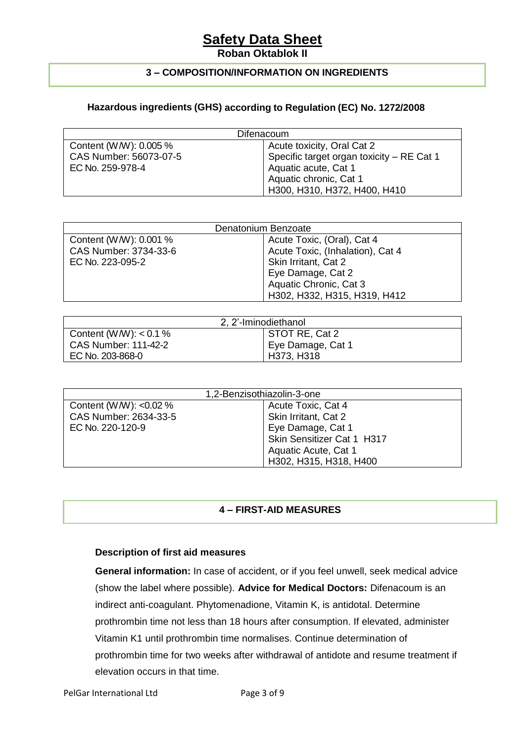**Roban Oktablok II**

#### **3 – COMPOSITION/INFORMATION ON INGREDIENTS**

#### **Hazardous ingredients (GHS) according to Regulation (EC) No. 1272/2008**

| Difenacoum             |                                           |  |  |  |
|------------------------|-------------------------------------------|--|--|--|
| Content (W/W): 0.005 % | Acute toxicity, Oral Cat 2                |  |  |  |
| CAS Number: 56073-07-5 | Specific target organ toxicity - RE Cat 1 |  |  |  |
| EC No. 259-978-4       | Aquatic acute, Cat 1                      |  |  |  |
|                        | Aquatic chronic, Cat 1                    |  |  |  |
|                        | H300, H310, H372, H400, H410              |  |  |  |

| Denatonium Benzoate    |                                  |  |  |  |
|------------------------|----------------------------------|--|--|--|
| Content (W/W): 0.001 % | Acute Toxic, (Oral), Cat 4       |  |  |  |
| CAS Number: 3734-33-6  | Acute Toxic, (Inhalation), Cat 4 |  |  |  |
| EC No. 223-095-2       | Skin Irritant, Cat 2             |  |  |  |
|                        | Eye Damage, Cat 2                |  |  |  |
|                        | Aquatic Chronic, Cat 3           |  |  |  |
|                        | H302, H332, H315, H319, H412     |  |  |  |

| 2, 2'-Iminodiethanol        |                   |  |  |  |
|-----------------------------|-------------------|--|--|--|
| Content (W/W): $< 0.1 \%$   | STOT RE, Cat 2    |  |  |  |
| <b>CAS Number: 111-42-2</b> | Eye Damage, Cat 1 |  |  |  |
| EC No. 203-868-0            | H373, H318        |  |  |  |

| 1,2-Benzisothiazolin-3-one |                            |  |  |  |
|----------------------------|----------------------------|--|--|--|
| Content (W/W): $< 0.02 \%$ | Acute Toxic, Cat 4         |  |  |  |
| CAS Number: 2634-33-5      | Skin Irritant, Cat 2       |  |  |  |
| EC No. 220-120-9           | Eye Damage, Cat 1          |  |  |  |
|                            | Skin Sensitizer Cat 1 H317 |  |  |  |
|                            | Aquatic Acute, Cat 1       |  |  |  |
|                            | H302, H315, H318, H400     |  |  |  |

#### **4 – FIRST-AID MEASURES**

#### **Description of first aid measures**

**General information:** In case of accident, or if you feel unwell, seek medical advice (show the label where possible). **Advice for Medical Doctors:** Difenacoum is an indirect anti-coagulant. Phytomenadione, Vitamin K, is antidotal. Determine prothrombin time not less than 18 hours after consumption. If elevated, administer Vitamin K1 until prothrombin time normalises. Continue determination of prothrombin time for two weeks after withdrawal of antidote and resume treatment if elevation occurs in that time.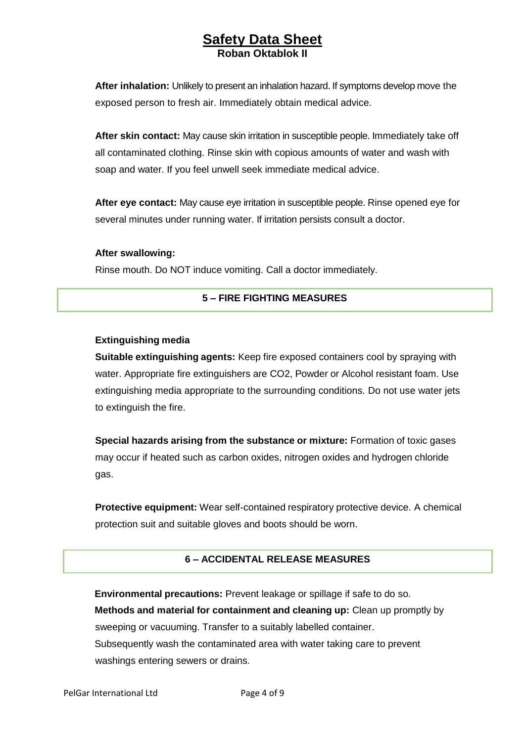**After inhalation:** Unlikely to present an inhalation hazard. If symptoms develop move the exposed person to fresh air. Immediately obtain medical advice.

**After skin contact:** May cause skin irritation in susceptible people. Immediately take off all contaminated clothing. Rinse skin with copious amounts of water and wash with soap and water. If you feel unwell seek immediate medical advice.

**After eye contact:** May cause eye irritation in susceptible people. Rinse opened eye for several minutes under running water. If irritation persists consult a doctor.

#### **After swallowing:**

Rinse mouth. Do NOT induce vomiting. Call a doctor immediately.

#### **5 – FIRE FIGHTING MEASURES**

#### **Extinguishing media**

**Suitable extinguishing agents:** Keep fire exposed containers cool by spraying with water. Appropriate fire extinguishers are CO2, Powder or Alcohol resistant foam. Use extinguishing media appropriate to the surrounding conditions. Do not use water jets to extinguish the fire.

**Special hazards arising from the substance or mixture:** Formation of toxic gases may occur if heated such as carbon oxides, nitrogen oxides and hydrogen chloride gas.

**Protective equipment:** Wear self-contained respiratory protective device. A chemical protection suit and suitable gloves and boots should be worn.

#### **6 – ACCIDENTAL RELEASE MEASURES**

**Environmental precautions:** Prevent leakage or spillage if safe to do so. **Methods and material for containment and cleaning up:** Clean up promptly by sweeping or vacuuming. Transfer to a suitably labelled container. Subsequently wash the contaminated area with water taking care to prevent washings entering sewers or drains.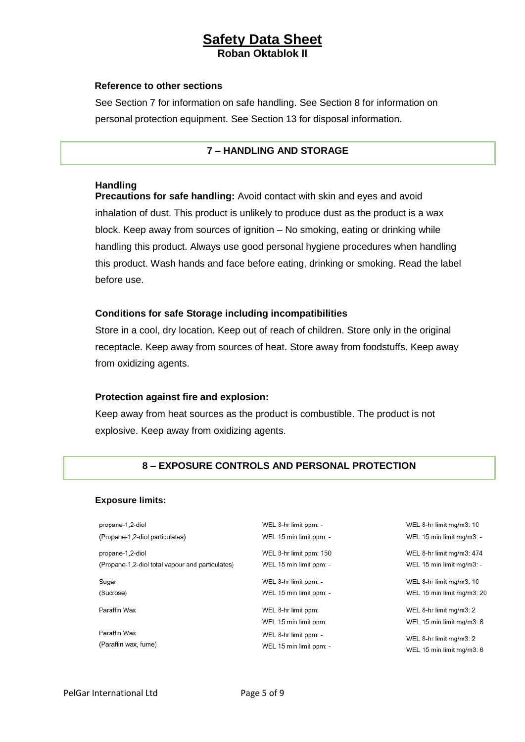#### **Reference to other sections**

See Section 7 for information on safe handling. See Section 8 for information on personal protection equipment. See Section 13 for disposal information.

#### **7 – HANDLING AND STORAGE**

#### **Handling**

**Precautions for safe handling:** Avoid contact with skin and eyes and avoid inhalation of dust. This product is unlikely to produce dust as the product is a wax block. Keep away from sources of ignition – No smoking, eating or drinking while handling this product. Always use good personal hygiene procedures when handling this product. Wash hands and face before eating, drinking or smoking. Read the label before use.

#### **Conditions for safe Storage including incompatibilities**

Store in a cool, dry location. Keep out of reach of children. Store only in the original receptacle. Keep away from sources of heat. Store away from foodstuffs. Keep away from oxidizing agents.

#### **Protection against fire and explosion:**

Keep away from heat sources as the product is combustible. The product is not explosive. Keep away from oxidizing agents.

#### **8 – EXPOSURE CONTROLS AND PERSONAL PROTECTION**

#### **Exposure limits:**

| propane-1,2-diol                                 | WEL 8-hr limit ppm: -                        | WEL 8-hr limit mg/m3: 10                             |
|--------------------------------------------------|----------------------------------------------|------------------------------------------------------|
| (Propane-1,2-diol particulates)                  | WEL 15 min limit ppm: -                      | WEL 15 min limit mg/m3: -                            |
| propane-1,2-diol                                 | WEL 8-hr limit ppm: 150                      | WEL 8-hr limit mg/m3: 474                            |
| (Propane-1,2-diol total vapour and particulates) | WEL 15 min limit ppm: -                      | WEL 15 min limit mg/m3: -                            |
| Sugar                                            | WEL 8-hr limit ppm: -                        | WEL 8-hr limit mg/m3: 10                             |
| (Sucrose)                                        | WEL 15 min limit ppm: -                      | WEL 15 min limit mg/m3: 20                           |
| Paraffin Wax                                     | WEL 8-hr limit ppm:<br>WEL 15 min limit ppm: | WEL 8-hr limit mg/m3: 2<br>WEL 15 min limit mg/m3: 6 |
| Paraffin Wax                                     | WEL 8-hr limit ppm: -                        | WEL 8-hr limit mg/m3: 2                              |
| (Paraffin wax, fume)                             | WEL 15 min limit ppm: -                      | WEL 15 min limit mg/m3: 6                            |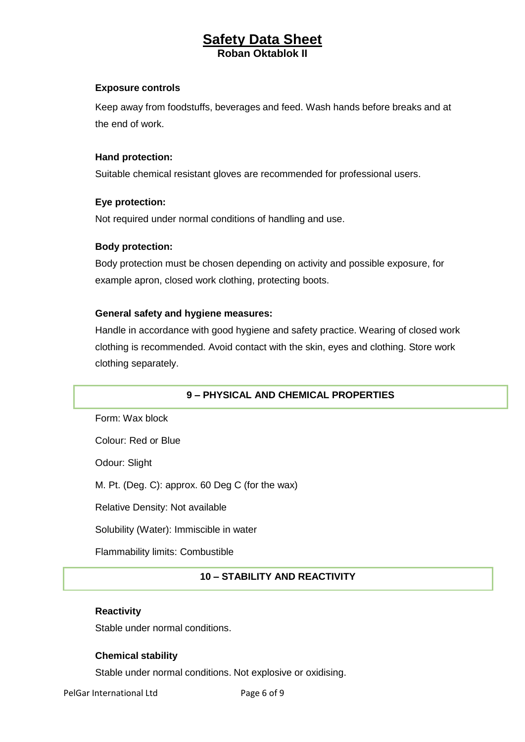#### **Exposure controls**

Keep away from foodstuffs, beverages and feed. Wash hands before breaks and at the end of work.

#### **Hand protection:**

Suitable chemical resistant gloves are recommended for professional users.

#### **Eye protection:**

Not required under normal conditions of handling and use.

#### **Body protection:**

Body protection must be chosen depending on activity and possible exposure, for example apron, closed work clothing, protecting boots.

#### **General safety and hygiene measures:**

Handle in accordance with good hygiene and safety practice. Wearing of closed work clothing is recommended. Avoid contact with the skin, eyes and clothing. Store work clothing separately.

#### **9 – PHYSICAL AND CHEMICAL PROPERTIES**

Form: Wax block

Colour: Red or Blue

Odour: Slight

M. Pt. (Deg. C): approx. 60 Deg C (for the wax)

Relative Density: Not available

Solubility (Water): Immiscible in water

Flammability limits: Combustible

#### **10 – STABILITY AND REACTIVITY**

#### **Reactivity**

Stable under normal conditions.

#### **Chemical stability**

Stable under normal conditions. Not explosive or oxidising.

PelGar International Ltd Page 6 of 9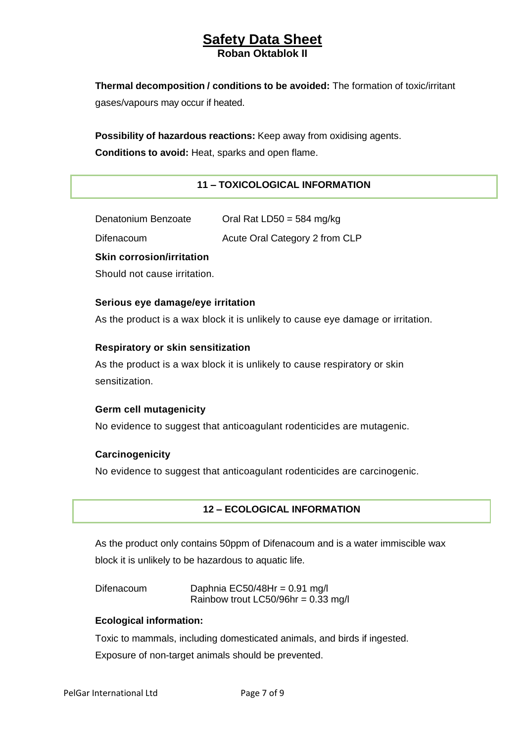**Thermal decomposition / conditions to be avoided:** The formation of toxic/irritant gases/vapours may occur if heated.

**Possibility of hazardous reactions:** Keep away from oxidising agents. **Conditions to avoid:** Heat, sparks and open flame.

#### **11 – TOXICOLOGICAL INFORMATION**

Denatonium Benzoate Oral Rat LD50 = 584 mg/kg Difenacoum **Acute Oral Category 2 from CLP** 

**Skin corrosion/irritation**

Should not cause irritation.

#### **Serious eye damage/eye irritation**

As the product is a wax block it is unlikely to cause eye damage or irritation.

#### **Respiratory or skin sensitization**

As the product is a wax block it is unlikely to cause respiratory or skin sensitization.

#### **Germ cell mutagenicity**

No evidence to suggest that anticoagulant rodenticides are mutagenic.

#### **Carcinogenicity**

No evidence to suggest that anticoagulant rodenticides are carcinogenic.

#### **12 – ECOLOGICAL INFORMATION**

As the product only contains 50ppm of Difenacoum and is a water immiscible wax block it is unlikely to be hazardous to aquatic life.

Difenacoum Daphnia EC50/48Hr = 0.91 mg/l Rainbow trout LC50/96hr =  $0.33$  mg/l

#### **Ecological information:**

Toxic to mammals, including domesticated animals, and birds if ingested.

Exposure of non-target animals should be prevented.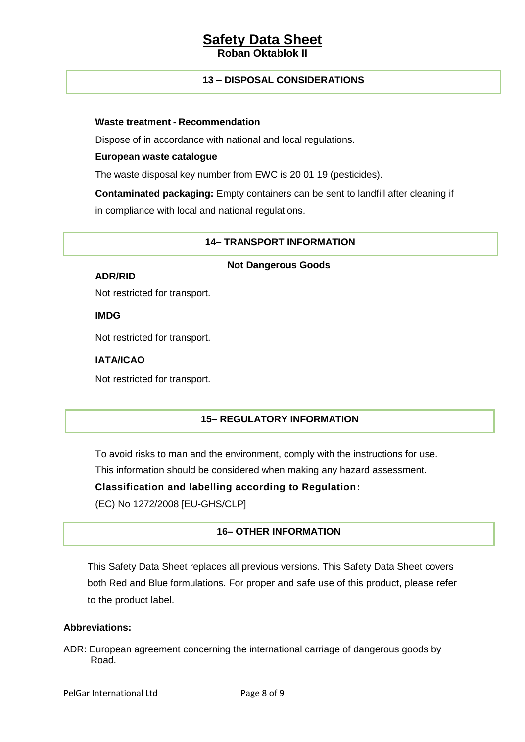#### **Roban Oktablok**

#### **13 – DISPOSAL CONSIDERATIONS**

#### **Waste treatment - Recommendation**

Dispose of in accordance with national and local regulations.

#### **European waste catalogue**

The waste disposal key number from EWC is 20 01 19 (pesticides).

**Contaminated packaging:** Empty containers can be sent to landfill after cleaning if in compliance with local and national regulations.

#### **14– TRANSPORT INFORMATION**

#### **Not Dangerous Goods**

#### **ADR/RID**

Not restricted for transport.

**IMDG**

Not restricted for transport.

#### **IATA/ICAO**

Not restricted for transport.

#### **15– REGULATORY INFORMATION**

To avoid risks to man and the environment, comply with the instructions for use.

This information should be considered when making any hazard assessment.

**Classification and labelling according to Regulation:**

(EC) No 1272/2008 [EU-GHS/CLP]

#### **16– OTHER INFORMATION**

This Safety Data Sheet replaces all previous versions. This Safety Data Sheet covers both Red and Blue formulations. For proper and safe use of this product, please refer to the product label.

#### **Abbreviations:**

ADR: European agreement concerning the international carriage of dangerous goods by Road.